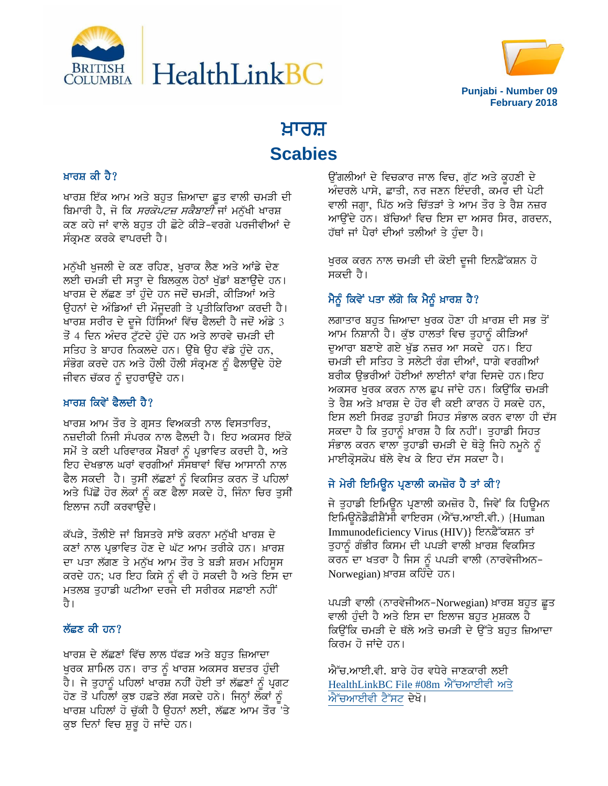



# ਖ਼ਾਰਸ਼ **Scabies**

#### ਖ਼ਾਰਸ਼ ਕੀ ਹੈ?

ਖਾਰਸ਼ ਇੱਕ ਆਮ ਅਤੇ ਬਹੁਤ ਜ਼ਿਆਦਾ ਛੂਤ ਵਾਲੀ ਚਮੜੀ ਦੀ *ਬਿ*ਮਾਰੀ ਹੈ, ਜੋ ਕਿ *ਸਰਕੋਪਟਜ਼ ਸਕੈਬਾਈ* ਜਾਂ ਮਨੁੱਖੀ ਖਾਰਸ਼ ਕਣ ਕਹੇ ਜਾਂ ਵਾਲੇ ਬਹਤ ਹੀ ਛੋਟੇ ਕੀੜੇ-ਵਰਗੇ ਪਰਜੀਵੀਆਂ ਦੇ ਸੰਕਮਣ ਕਰਕੇ ਵਾਪਰਦੀ ਹੈ।

ਮਨੁੱਖੀ ਖੁਜਲੀ ਦੇ ਕਣ ਰਹਿਣ, ਖੁਰਾਕ ਲੈਣ ਅਤੇ ਆਂਡੇ ਦੇਣ ਲਈ ਚਮੜੀ ਦੀ ਸਤ੍ਹਾ ਦੇ ਬਿਲਕੁਲ ਹੇਠਾਂ ਖੁੱਡਾਂ ਬਣਾਉਂਦੇ ਹਨ। ਖਾਰਸ਼ ਦੇ ਲੱਛਣ ਤਾਂ ਹੁੰਦੇ ਹਨ ਜਦੋਂ ਚਮੜੀ, ਕੀੜਿਆਂ ਅਤੇ ਉਹਨਾਂ ਦੇ ਅੰਡਿਆਂ ਦੀ ਮੌਜੂਦਗੀ ਤੇ ਪ੍ਰਤੀਕਿਰਿਆ ਕਰਦੀ ਹੈ। ਖਾਰਸ਼ ਸਰੀਰ ਦੇ ਦੂਜੇ ਹਿੱਸਿਆਂ ਵਿੱਚ ਫੈਲਦੀ ਹੈ ਜਦੋਂ ਅੰਡੇ 3 ਤੋਂ 4 ਦਿਨ ਅੰਦਰ ਟੁੱਟਦੇ ਹੁੰਦੇ ਹਨ ਅਤੇ ਲਾਰਵੇ ਚਮੜੀ ਦੀ ਸਤਿਹ ਤੇ ਬਾਹਰ ਨਿਕਲਦੇ ਹਨ। ਉੱਥੇ ਉਹ ਵੱਡੇ ਹੰਦੇ ਹਨ, ਸੰਭੋਗ ਕਰਦੇ ਹਨ ਅਤੇ ਹੌਲੀ ਹੌਲੀ ਸੰਕ੍ਰਮਣ ਨੂੰ ਫੈਲਾਉਂਦੇ ਹੋਏ ਜੀਵਨ ਚੱਕਰ ਨੂੰ ਦੁਹਰਾਉਂਦੇ ਹਨ।

## ਖ਼ਾਰਸ਼ ਕਿਵੇਂ ਫੈਲਦੀ ਹੈ?

ਖਾਰਸ਼ ਆਮ ਤੌਰ ਤੇ ਗੁਸਤ ਵਿਅਕਤੀ ਨਾਲ ਵਿਸਤਾਰਿਤ, ਨਜ਼ਦੀਕੀ ਨਿਜੀ ਸੰਪਰਕ ਨਾਲ ਫੈਲਦੀ ਹੈ। ਇਹ ਅਕਸਰ ਇੱਕੋ ਸਮੇਂ ਤੇ ਕਈ ਪਰਿਵਾਰਕ ਮੈਂਬਰਾਂ ਨੂੰ ਪ੍ਰਭਾਵਿਤ ਕਰਦੀ ਹੈ, ਅਤੇ ਇਹ ਦੇਖਭਾਲ ਘਰਾਂ ਵਰਗੀਆਂ ਸੰਸਥਾਵਾਂ ਵਿੱਚ ਆਸਾਨੀ ਨਾਲ ਫੈਲ ਸਕਦੀ ਹੈ। ਤੁਸੀਂ ਲੱਛਣਾਂ ਨੂੰ ਵਿਕਸਿਤ ਕਰਨ ਤੋਂ ਪਹਿਲਾਂ ਅਤੇ ਪਿੱਛੋਂ ਹੋਰ ਲੋਕਾਂ ਨੂੰ ਕਣ ਫੈਲਾ ਸਕਦੇ ਹੋ, ਜਿੰਨਾ ਚਿਰ ਤੁਸੀ ਇਲਾਜ ਨਹੀਂ ਕਰਵਾੳਂਦੇ।

ਕੱਪੜੇ, ਤੌਲੀਏ ਜਾਂ ਬਿਸਤਰੇ ਸਾਂਝੇ ਕਰਨਾ ਮਨੁੱਖੀ ਖਾਰਸ਼ ਦੇ ਕਣਾਂ ਨਾਲ ਪੁਭਾਵਿਤ ਹੋਣ ਦੇ ਘੱਟ ਆਮ ਤਰੀਕੇ ਹਨ। ਖ਼ਾਰਸ਼ ਦਾ ਪਤਾ ਲੱਗਣ ਤੇ ਮਨੁੱਖ ਆਮ ਤੌਰ ਤੇ ਬੜੀ ਸ਼ਰਮ ਮਹਿਸੂਸ ਕਰਦੇ ਹਨ; ਪਰ ਇਹ ਕਿਸੇ ਨੂੰ ਵੀ ਹੋ ਸਕਦੀ ਹੈ ਅਤੇ ਇਸ ਦਾ ਮਤਲਬ ਤਹਾਡੀ ਘਟੀਆ ਦਰਜੇ ਦੀ ਸਰੀਰਕ ਸਫ਼ਾਈ ਨਹੀਂ ਹੈ।

#### ਲੱਛਣ ਕੀ ਹਨ?

ਖਾਰਸ਼ ਦੇ ਲੱਛਣਾਂ ਵਿੱਚ ਲਾਲ ਧੱਫੜ ਅਤੇ ਬਹੁਤ ਜ਼ਿਆਦਾ ਖੁਰਕ ਸ਼ਾਮਿਲ ਹਨ। ਰਾਤ ਨੂੰ ਖਾਰਸ਼ ਅਕਸਰ ਬਦਤਰ ਹੁੰਦੀ ਹੈ। ਜੇ ਤੁਹਾਨੂੰ ਪਹਿਲਾਂ ਖਾਰਸ਼ ਨਹੀਂ ਹੋਈ ਤਾਂ ਲੱਛਣਾਂ ਨੂੰ ਪ੍ਰਗਟ ਹੋਣ ਤੋਂ ਪਹਿਲਾਂ ਕੁਝ ਹਫ਼ਤੇ ਲੱਗ ਸਕਦੇ ਹਨੇ। ਜਿਨ੍ਹਾਂ ਲੋਕਾਂ ਨੂੰ ਖਾਰਸ਼ ਪਹਿਲਾਂ ਹੋ ਚੱਕੀ ਹੈ ਉਹਨਾਂ ਲਈ, ਲੱਛਣ ਆਮ ਤੌਰ 'ਤੇ ਕੁਝ ਦਿਨਾਂ ਵਿਚ ਸ਼ੁਰੂ ਹੋ ਜਾਂਦੇ ਹਨ।

ਉਂਗਲੀਆਂ ਦੇ ਵਿਚਕਾਰ ਜਾਲ ਵਿਚ, ਗੁੱਟ ਅਤੇ ਕੁਹਣੀ ਦੇ ਅੰਦਰਲੇ ਪਾਸੇ, ਛਾਤੀ, ਨਰ ਜਣਨ ਇੰਦਰੀ, ਕਮਰ ਦੀ ਪੇਟੀ ਵਾਲੀ ਜਗ੍ਹਾ, ਪਿੱਠ ਅਤੇ ਚਿੱਤੜਾਂ ਤੇ ਆਮ ਤੌਰ ਤੇ ਰੈਸ਼ ਨਜ਼ਰ ਆਉਂਦੇ ਹਨ। ਬੱਚਿਆਂ ਵਿਚ ਇਸ ਦਾ ਅਸਰ ਸਿਰ, ਗਰਦਨ, ਹੱਥਾਂ ਜਾਂ ਪੈਰਾਂ ਦੀਆਂ ਤਲੀਆਂ ਤੇ ਹੰਦਾ ਹੈ।

ਖੁਰਕ ਕਰਨ ਨਾਲ ਚਮੜੀ ਦੀ ਕੋਈ ਦੂਜੀ ਇਨਫ਼ੈੱਕਸ਼ਨ ਹੋ ਸਕਦੀ ਹੈ।

# ਮੈਨੂੰ ਕਿਵੇਂ ਪਤਾ ਲੱਗੇ ਕਿ ਮੈਨੂੰ ਖ਼ਾਰਸ਼ ਹੈ?

ਲਗਾਤਾਰ ਬਹੁਤ ਜ਼ਿਆਦਾ ਖੁਰਕ ਹੋਣਾ ਹੀ ਖ਼ਾਰਸ਼ ਦੀ ਸਭ ਤੋ<del>ਂ</del> ਆਮ ਨਿਸ਼ਾਨੀ ਹੈ। ਕੁੱਝ ਹਾਲਤਾਂ ਵਿਚ ਤੁਹਾਨੂੰ ਕੀੜਿਆਂ ਦੁਆਰਾ ਬਣਾਏ ਗਏ ਖੁੱਡ ਨਜ਼ਰ ਆ ਸਕਦੇ ਹਨ। ਇਹ ਚਮੜੀ ਦੀ ਸਤਿਹ ਤੇ ਸਲੇਟੀ ਰੰਗ ਦੀਆਂ. ਧਾਗੇ ਵਰਗੀਆਂ ਬਰੀਕ ਉਭਰੀਆਂ ਹੋਈਆਂ ਲਾਈਨਾਂ ਵਾਂਗ ਦਿਸਦੇ ਹਨ।ਇਹ ਅਕਸਰ ਖੁਰਕ ਕਰਨ ਨਾਲ ਛੁਪ ਜਾਂਦੇ ਹਨ। ਕਿਉਂਕਿ ਚਮੜੀ ਤੇ ਰੈਸ਼ ਅਤੇ ਖ਼ਾਰਸ਼ ਦੇ ਹੋਰ ਵੀ ਕਈ ਕਾਰਨ ਹੋ ਸਕਦੇ ਹਨ, ਇਸ ਲਈ ਸਿਰਫ਼ ਤਹਾਡੀ ਸਿਹਤ ਸੰਭਾਲ ਕਰਨ ਵਾਲਾ ਹੀ ਦੱਸ ਸਕਦਾ ਹੈ ਕਿ ਤੁਹਾਨੂੰ ਖ਼ਾਰਸ਼ ਹੈ ਕਿ ਨਹੀਂ। ਤੁਹਾਡੀ ਸਿਹਤ ਸੰਭਾਲ ਕਰਨ ਵਾਲਾ ਤੁਹਾਡੀ ਚਮੜੀ ਦੇ ਥੋੜ੍ਹੇ ਜਿਹੇ ਨਮੂਨੇ ਨੂੰ ਮਾਈਕ੍ਰੋਸਕੋਪ ਥੱਲੇ ਵੇਖ ਕੇ ਇਹ ਦੱਸ ਸਕਦਾ ਹੈ।

## ਜੇ ਮੇਰੀ ਇਮਿਊਨ ਪ੍ਰਣਾਲੀ ਕਮਜ਼ੋਰ ਹੈ ਤਾਂ ਕੀ?

ਜੇ ਤੁਹਾਡੀ ਇਮਿਊਨ ਪ੍ਰਣਾਲੀ ਕਮਜ਼ੋਰ ਹੈ, ਜਿਵੇਂ ਕਿ ਹਿਊਮਨ ਇਮਿਊਨੋਡੈਫ਼ੀਸ਼ੈਂਸੀ ਵਾਇਰਸ (ਐੱਚ.ਆਈ.ਵੀ.) {Human Immunodeficiency Virus (HIV)} ਇਨਫ਼ੈੱਕਸ਼ਨ ਤਾਂ ਤੁਹਾਨੂੰ ਗੰਭੀਰ ਕਿਸਮ ਦੀ ਪਪੜੀ ਵਾਲੀ ਖ਼ਾਰਸ਼ ਵਿਕਸਿਤ ਕਰਨ ਦਾ ਖਤਰਾ ਹੈ ਜਿਸ ਨੂੰ ਪਪੜੀ ਵਾਲੀ (ਨਾਰਵੇਜੀਅਨ-Norwegian) ਖ਼ਾਰਸ਼ ਕਹਿੰਦੇ ਹਨ।

ਪਪੜੀ ਵਾਲੀ (ਨਾਰਵੇਜੀਅਨ-Norwegian) ਖ਼ਾਰਸ਼ ਬਹੁਤ ਛੂਤ ਵਾਲੀ ਹੁੰਦੀ ਹੈ ਅਤੇ ਇਸ ਦਾ ਇਲਾਜ ਬਹੁਤ ਮੁਸ਼ਕਲ ਹੈ ਕਿੳਂਕਿ ਚਮੜੀ ਦੇ ਥੱਲੇ ਅਤੇ ਚਮੜੀ ਦੇ ੳੱਤੇ ਬਹਤ ਜ਼ਿਆਦਾ ਕਿਰਮ ਹੋ ਜਾਂਦੇ ਹਨ।

ਐੱਚ.ਆਈ.ਵੀ. ਬਾਰੇ ਹੋਰ ਵਧੇਰੇ ਜਾਣਕਾਰੀ ਲਈ [HealthLinkBC File #08m](https://www.healthlinkbc.ca/hlbc/files/documents/healthfiles/hfile08m-p.pdf) ਐੱਚਆਈਵੀ ਅਤੇ ਐੱਚਆਈਵੀ ਟੈੱਸਟ ਦੇਖੋ।